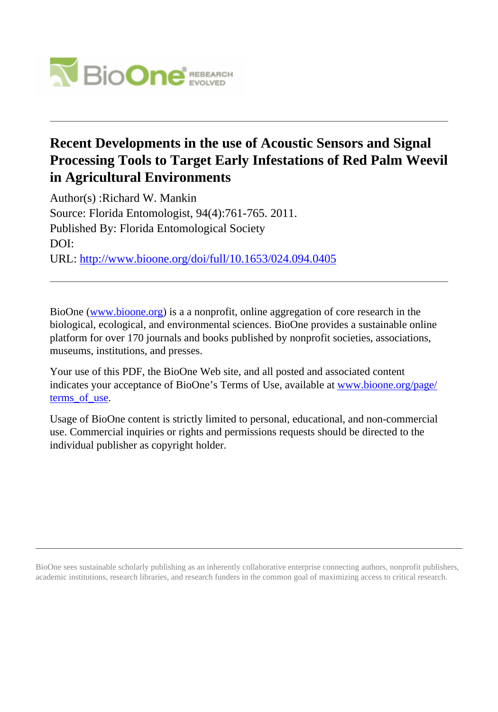

# **Recent Developments in the use of Acoustic Sensors and Signal Processing Tools to Target Early Infestations of Red Palm Weevil in Agricultural Environments**

Author(s) :Richard W. Mankin Source: Florida Entomologist, 94(4):761-765. 2011. Published By: Florida Entomological Society DOI: URL: <http://www.bioone.org/doi/full/10.1653/024.094.0405>

BioOne [\(www.bioone.org\)](http://www.bioone.org) is a a nonprofit, online aggregation of core research in the biological, ecological, and environmental sciences. BioOne provides a sustainable online platform for over 170 journals and books published by nonprofit societies, associations, museums, institutions, and presses.

Your use of this PDF, the BioOne Web site, and all posted and associated content indicates your acceptance of BioOne's Terms of Use, available at [www.bioone.org/page/](http://www.bioone.org/page/terms_of_use) terms of use.

Usage of BioOne content is strictly limited to personal, educational, and non-commercial use. Commercial inquiries or rights and permissions requests should be directed to the individual publisher as copyright holder.

BioOne sees sustainable scholarly publishing as an inherently collaborative enterprise connecting authors, nonprofit publishers, academic institutions, research libraries, and research funders in the common goal of maximizing access to critical research.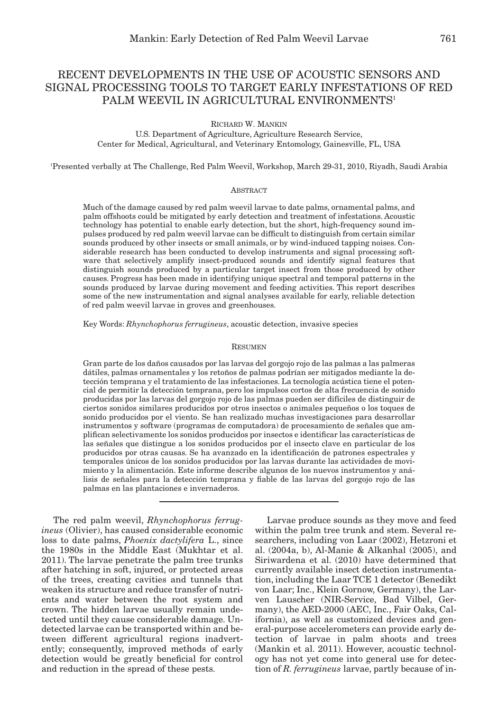## RECENT DEVELOPMENTS IN THE USE OF ACOUSTIC SENSORS AND SIGNAL PROCESSING TOOLS TO TARGET EARLY INFESTATIONS OF RED PALM WEEVIL IN AGRICULTURAL ENVIRONMENTS<sup>1</sup>

RICHARD W. MANKIN

U.S. Department of Agriculture, Agriculture Research Service, Center for Medical, Agricultural, and Veterinary Entomology, Gainesville, FL, USA

1 Presented verbally at The Challenge, Red Palm Weevil, Workshop, March 29-31, 2010, Riyadh, Saudi Arabia

#### **ABSTRACT**

Much of the damage caused by red palm weevil larvae to date palms, ornamental palms, and palm offshoots could be mitigated by early detection and treatment of infestations. Acoustic technology has potential to enable early detection, but the short, high-frequency sound impulses produced by red palm weevil larvae can be difficult to distinguish from certain similar sounds produced by other insects or small animals, or by wind-induced tapping noises. Considerable research has been conducted to develop instruments and signal processing software that selectively amplify insect-produced sounds and identify signal features that distinguish sounds produced by a particular target insect from those produced by other causes. Progress has been made in identifying unique spectral and temporal patterns in the sounds produced by larvae during movement and feeding activities. This report describes some of the new instrumentation and signal analyses available for early, reliable detection of red palm weevil larvae in groves and greenhouses.

Key Words: *Rhynchophorus ferrugineus*, acoustic detection, invasive species

## RESUMEN

Gran parte de los daños causados por las larvas del gorgojo rojo de las palmas a las palmeras dátiles, palmas ornamentales y los retoños de palmas podrían ser mitigados mediante la detección temprana y el tratamiento de las infestaciones. La tecnología acústica tiene el potencial de permitir la detección temprana, pero los impulsos cortos de alta frecuencia de sonido producidas por las larvas del gorgojo rojo de las palmas pueden ser difíciles de distinguir de ciertos sonidos similares producidos por otros insectos o animales pequeños o los toques de sonido producidos por el viento. Se han realizado muchas investigaciones para desarrollar instrumentos y software (programas de computadora) de procesamiento de señales que amplifican selectivamente los sonidos producidos por insectos e identificar las características de las señales que distingue a los sonidos producidos por el insecto clave en particular de los producidos por otras causas. Se ha avanzado en la identificación de patrones espectrales y temporales únicos de los sonidos producidos por las larvas durante las actividades de movimiento y la alimentación. Este informe describe algunos de los nuevos instrumentos y análisis de señales para la detección temprana y fiable de las larvas del gorgojo rojo de las palmas en las plantaciones e invernaderos.

The red palm weevil, *Rhynchophorus ferrugineus* (Olivier), has caused considerable economic loss to date palms, *Phoenix dactylifera* L., since the 1980s in the Middle East (Mukhtar et al. 2011). The larvae penetrate the palm tree trunks after hatching in soft, injured, or protected areas of the trees, creating cavities and tunnels that weaken its structure and reduce transfer of nutrients and water between the root system and crown. The hidden larvae usually remain undetected until they cause considerable damage. Undetected larvae can be transported within and between different agricultural regions inadvertently; consequently, improved methods of early detection would be greatly beneficial for control and reduction in the spread of these pests.

Larvae produce sounds as they move and feed within the palm tree trunk and stem. Several researchers, including von Laar (2002), Hetzroni et al. (2004a, b), Al-Manie & Alkanhal (2005), and Siriwardena et al. (2010) have determined that currently available insect detection instrumentation, including the Laar TCE 1 detector (Benedikt von Laar; Inc., Klein Gornow, Germany), the Larven Lauscher (NIR-Service, Bad Vilbel, Germany), the AED-2000 (AEC, Inc., Fair Oaks, California), as well as customized devices and general-purpose accelerometers can provide early detection of larvae in palm shoots and trees (Mankin et al. 2011). However, acoustic technology has not yet come into general use for detection of *R. ferrugineus* larvae, partly because of in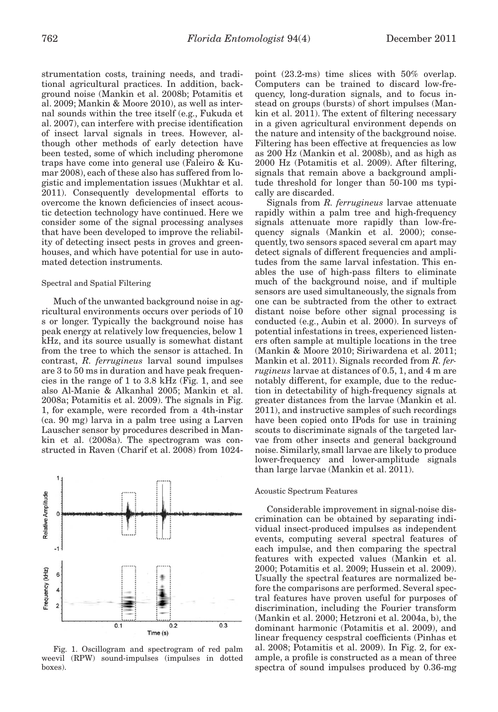strumentation costs, training needs, and traditional agricultural practices. In addition, background noise (Mankin et al. 2008b; Potamitis et al. 2009; Mankin & Moore 2010), as well as internal sounds within the tree itself (e.g., Fukuda et al. 2007), can interfere with precise identification of insect larval signals in trees. However, although other methods of early detection have been tested, some of which including pheromone traps have come into general use (Faleiro & Kumar 2008), each of these also has suffered from logistic and implementation issues (Mukhtar et al. 2011). Consequently developmental efforts to overcome the known deficiencies of insect acoustic detection technology have continued. Here we consider some of the signal processing analyses that have been developed to improve the reliability of detecting insect pests in groves and greenhouses, and which have potential for use in automated detection instruments.

## Spectral and Spatial Filtering

Much of the unwanted background noise in agricultural environments occurs over periods of 10 s or longer. Typically the background noise has peak energy at relatively low frequencies, below 1 kHz, and its source usually is somewhat distant from the tree to which the sensor is attached. In contrast, *R. ferrugineus* larval sound impulses are 3 to 50 ms in duration and have peak frequencies in the range of 1 to 3.8 kHz (Fig. 1, and see also Al-Manie & Alkanhal 2005; Mankin et al. 2008a; Potamitis et al. 2009). The signals in Fig. 1, for example, were recorded from a 4th-instar (ca. 90 mg) larva in a palm tree using a Larven Lauscher sensor by procedures described in Mankin et al. (2008a). The spectrogram was constructed in Raven (Charif et al. 2008) from 1024-



Fig. 1. Oscillogram and spectrogram of red palm weevil (RPW) sound-impulses (impulses in dotted boxes).

point (23.2-ms) time slices with 50% overlap. Computers can be trained to discard low-frequency, long-duration signals, and to focus instead on groups (bursts) of short impulses (Mankin et al. 2011). The extent of filtering necessary in a given agricultural environment depends on the nature and intensity of the background noise. Filtering has been effective at frequencies as low as 200 Hz (Mankin et al. 2008b), and as high as 2000 Hz (Potamitis et al. 2009). After filtering, signals that remain above a background amplitude threshold for longer than 50-100 ms typically are discarded.

Signals from *R. ferrugineus* larvae attenuate rapidly within a palm tree and high-frequency signals attenuate more rapidly than low-frequency signals (Mankin et al. 2000); consequently, two sensors spaced several cm apart may detect signals of different frequencies and amplitudes from the same larval infestation. This enables the use of high-pass filters to eliminate much of the background noise, and if multiple sensors are used simultaneously, the signals from one can be subtracted from the other to extract distant noise before other signal processing is conducted (e.g., Aubin et al. 2000). In surveys of potential infestations in trees, experienced listeners often sample at multiple locations in the tree (Mankin & Moore 2010; Siriwardena et al. 2011; Mankin et al. 2011). Signals recorded from *R. ferrugineus* larvae at distances of 0.5, 1, and 4 m are notably different, for example, due to the reduction in detectability of high-frequency signals at greater distances from the larvae (Mankin et al. 2011), and instructive samples of such recordings have been copied onto IPods for use in training scouts to discriminate signals of the targeted larvae from other insects and general background noise. Similarly, small larvae are likely to produce lower-frequency and lower-amplitude signals than large larvae (Mankin et al. 2011).

## Acoustic Spectrum Features

Considerable improvement in signal-noise discrimination can be obtained by separating individual insect-produced impulses as independent events, computing several spectral features of each impulse, and then comparing the spectral features with expected values (Mankin et al. 2000; Potamitis et al. 2009; Hussein et al. 2009). Usually the spectral features are normalized before the comparisons are performed. Several spectral features have proven useful for purposes of discrimination, including the Fourier transform (Mankin et al. 2000; Hetzroni et al. 2004a, b), the dominant harmonic (Potamitis et al. 2009), and linear frequency cespstral coefficients (Pinhas et al. 2008; Potamitis et al. 2009). In Fig. 2, for example, a profile is constructed as a mean of three spectra of sound impulses produced by 0.36-mg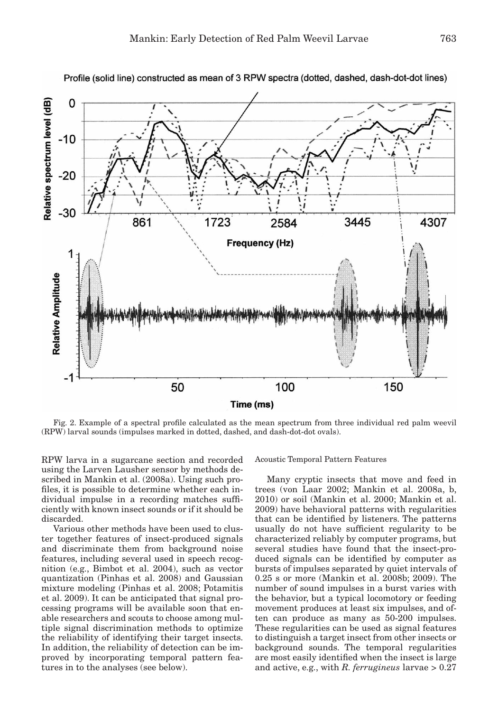

Profile (solid line) constructed as mean of 3 RPW spectra (dotted, dashed, dash-dot-dot lines)

Fig. 2. Example of a spectral profile calculated as the mean spectrum from three individual red palm weevil (RPW) larval sounds (impulses marked in dotted, dashed, and dash-dot-dot ovals).

RPW larva in a sugarcane section and recorded using the Larven Lausher sensor by methods described in Mankin et al. (2008a). Using such profiles, it is possible to determine whether each individual impulse in a recording matches sufficiently with known insect sounds or if it should be discarded.

Various other methods have been used to cluster together features of insect-produced signals and discriminate them from background noise features, including several used in speech recognition (e.g., Bimbot et al. 2004), such as vector quantization (Pinhas et al. 2008) and Gaussian mixture modeling (Pinhas et al. 2008; Potamitis et al. 2009). It can be anticipated that signal processing programs will be available soon that enable researchers and scouts to choose among multiple signal discrimination methods to optimize the reliability of identifying their target insects. In addition, the reliability of detection can be improved by incorporating temporal pattern features in to the analyses (see below).

Acoustic Temporal Pattern Features

Many cryptic insects that move and feed in trees (von Laar 2002; Mankin et al. 2008a, b, 2010) or soil (Mankin et al. 2000; Mankin et al. 2009) have behavioral patterns with regularities that can be identified by listeners. The patterns usually do not have sufficient regularity to be characterized reliably by computer programs, but several studies have found that the insect-produced signals can be identified by computer as bursts of impulses separated by quiet intervals of 0.25 s or more (Mankin et al. 2008b; 2009). The number of sound impulses in a burst varies with the behavior, but a typical locomotory or feeding movement produces at least six impulses, and often can produce as many as 50-200 impulses. These regularities can be used as signal features to distinguish a target insect from other insects or background sounds. The temporal regularities are most easily identified when the insect is large and active, e.g., with *R. ferrugineus* larvae > 0.27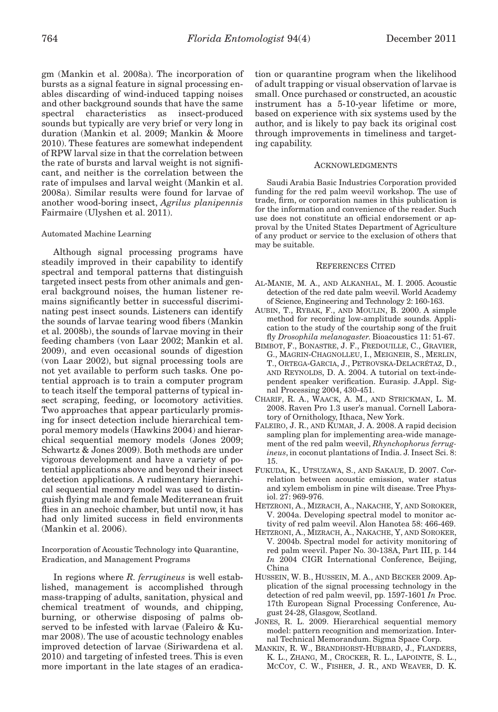gm (Mankin et al. 2008a). The incorporation of bursts as a signal feature in signal processing enables discarding of wind-induced tapping noises and other background sounds that have the same spectral characteristics as insect-produced sounds but typically are very brief or very long in duration (Mankin et al. 2009; Mankin & Moore 2010). These features are somewhat independent of RPW larval size in that the correlation between the rate of bursts and larval weight is not significant, and neither is the correlation between the rate of impulses and larval weight (Mankin et al. 2008a). Similar results were found for larvae of another wood-boring insect, *Agrilus planipennis* Fairmaire (Ulyshen et al. 2011).

## Automated Machine Learning

Although signal processing programs have steadily improved in their capability to identify spectral and temporal patterns that distinguish targeted insect pests from other animals and general background noises, the human listener remains significantly better in successful discriminating pest insect sounds. Listeners can identify the sounds of larvae tearing wood fibers (Mankin et al. 2008b), the sounds of larvae moving in their feeding chambers (von Laar 2002; Mankin et al. 2009), and even occasional sounds of digestion (von Laar 2002), but signal processing tools are not yet available to perform such tasks. One potential approach is to train a computer program to teach itself the temporal patterns of typical insect scraping, feeding, or locomotory activities. Two approaches that appear particularly promising for insect detection include hierarchical temporal memory models (Hawkins 2004) and hierarchical sequential memory models (Jones 2009; Schwartz & Jones 2009). Both methods are under vigorous development and have a variety of potential applications above and beyond their insect detection applications. A rudimentary hierarchical sequential memory model was used to distinguish flying male and female Mediterranean fruit flies in an anechoic chamber, but until now, it has had only limited success in field environments (Mankin et al. 2006).

Incorporation of Acoustic Technology into Quarantine, Eradication, and Management Programs

In regions where *R. ferrugineus* is well established, management is accomplished through mass-trapping of adults, sanitation, physical and chemical treatment of wounds, and chipping, burning, or otherwise disposing of palms observed to be infested with larvae (Faleiro & Kumar 2008). The use of acoustic technology enables improved detection of larvae (Siriwardena et al. 2010) and targeting of infested trees. This is even more important in the late stages of an eradication or quarantine program when the likelihood of adult trapping or visual observation of larvae is small. Once purchased or constructed, an acoustic instrument has a 5-10-year lifetime or more, based on experience with six systems used by the author, and is likely to pay back its original cost through improvements in timeliness and targeting capability.

#### ACKNOWLEDGMENTS

Saudi Arabia Basic Industries Corporation provided funding for the red palm weevil workshop. The use of trade, firm, or corporation names in this publication is for the information and convenience of the reader. Such use does not constitute an official endorsement or approval by the United States Department of Agriculture of any product or service to the exclusion of others that may be suitable.

## REFERENCES CITED

- AL-MANIE, M. A., AND ALKANHAL, M. I. 2005. Acoustic detection of the red date palm weevil. World Academy of Science, Engineering and Technology 2: 160-163.
- AUBIN, T., RYBAK, F., AND MOULIN, B. 2000. A simple method for recording low-amplitude sounds. Application to the study of the courtship song of the fruit fly *Drosophila melanogaster*. Bioacoustics 11: 51-67.
- BIMBOT, F., BONASTRE, J. F., FREDOUILLE, C., GRAVIER, G., MAGRIN-CHAGNOLLEU, I., MEIGNEIR, S., MERLIN, T., ORTEGA-GARCIA, J., PETROVSKA-DELACRÉTAZ, D., AND REYNOLDS, D. A. 2004. A tutorial on text-independent speaker verification. Eurasip. J.Appl. Signal Processing 2004, 430-451.
- CHARIF, R. A., WAACK, A. M., AND STRICKMAN, L. M. 2008. Raven Pro 1.3 user's manual. Cornell Laboratory of Ornithology, Ithaca, New York.
- FALEIRO, J. R., AND KUMAR, J. A. 2008. A rapid decision sampling plan for implementing area-wide management of the red palm weevil, *Rhynchophorus ferrugineus*, in coconut plantations of India. J. Insect Sci. 8: 15.
- FUKUDA, K., UTSUZAWA, S., AND SAKAUE, D. 2007. Correlation between acoustic emission, water status and xylem embolism in pine wilt disease. Tree Physiol. 27: 969-976.
- HETZRONI, A., MIZRACH, A., NAKACHE, Y, AND SOROKER, V. 2004a. Developing spectral model to monitor activity of red palm weevil. Alon Hanotea 58: 466-469.
- HETZRONI, A., MIZRACH, A., NAKACHE, Y, AND SOROKER, V. 2004b. Spectral model for activity monitoring of red palm weevil. Paper No. 30-138A, Part III, p. 144 *In* 2004 CIGR International Conference, Beijing, China
- HUSSEIN, W. B., HUSSEIN, M. A., AND BECKER 2009. Application of the signal processing technology in the detection of red palm weevil, pp. 1597-1601 *In* Proc. 17th European Signal Processing Conference, August 24-28, Glasgow, Scotland.
- JONES, R. L. 2009. Hierarchical sequential memory model: pattern recognition and memorization. Internal Technical Memorandum. Sigma Space Corp.
- MANKIN, R. W., BRANDHORST-HUBBARD, J., FLANDERS, K. L., ZHANG, M., CROCKER, R. L., LAPOINTE, S. L., MCCOY, C. W., FISHER, J. R., AND WEAVER, D. K.